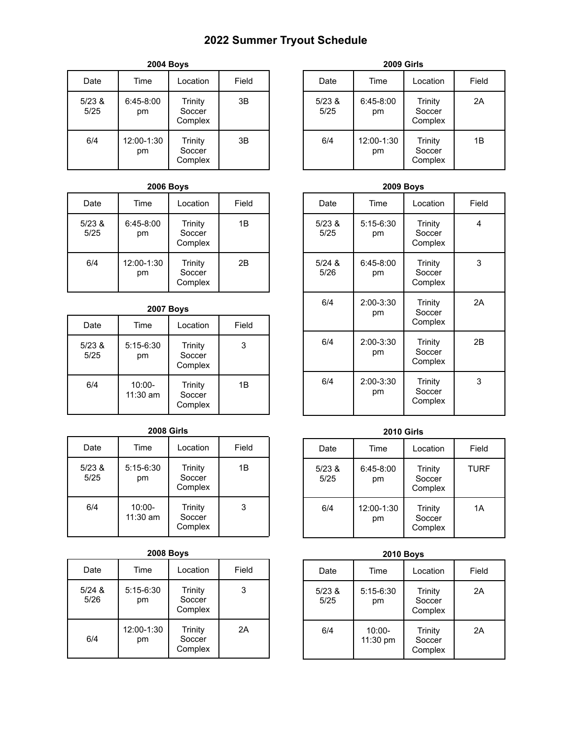# **2022 Summer Tryout Schedule**

| <b>2004 Boys</b> |                   |                              |       |
|------------------|-------------------|------------------------------|-------|
| Date             | Time              | Location                     | Field |
| 5/23 &<br>5/25   | $6:45-8:00$<br>рm | Trinity<br>Soccer<br>Complex | 3B    |
| 6/4              | 12:00-1:30<br>рm  | Trinity<br>Soccer<br>Complex | 3B    |

### **2006 Boys**

| Date           | Time              | Location                     | Field |
|----------------|-------------------|------------------------------|-------|
| 5/23 &<br>5/25 | $6:45-8:00$<br>рm | Trinity<br>Soccer<br>Complex | 1Β    |
| 6/4            | 12:00-1:30<br>рm  | Trinity<br>Soccer<br>Complex | 2Β    |

## **2007 Boys**

| Date           | Time                  | Location                     | Field |
|----------------|-----------------------|------------------------------|-------|
| 5/23 &<br>5/25 | $5:15-6:30$<br>рm     | Trinity<br>Soccer<br>Complex | 3     |
| 6/4            | $10:00 -$<br>11:30 am | Trinity<br>Soccer<br>Complex | 1Β    |

#### **2008 Girls**

| Date           | Time                    | Location                     | Field |
|----------------|-------------------------|------------------------------|-------|
| 5/23 &<br>5/25 | $5:15-6:30$<br>рm       | Trinity<br>Soccer<br>Complex | 1Β    |
| 6/4            | $10:00 -$<br>$11:30$ am | Trinity<br>Soccer<br>Complex | 3     |

#### **2008 Boys**

| Date             | Time              | Location                     | Field |
|------------------|-------------------|------------------------------|-------|
| $5/24$ &<br>5/26 | $5:15-6:30$<br>pm | Trinity<br>Soccer<br>Complex | 3     |
| 6/4              | 12:00-1:30<br>рm  | Trinity<br>Soccer<br>Complex | 2A    |

| <b>2009 Girls</b> |                   |                              |       |
|-------------------|-------------------|------------------------------|-------|
| Date              | Time              | Location                     | Field |
| 5/23 &<br>5/25    | $6:45-8:00$<br>рm | Trinity<br>Soccer<br>Complex | 2A    |
| 6/4               | 12:00-1:30<br>рm  | Trinity<br>Soccer<br>Complex | 1Β    |

#### **2009 Boys** Date | Time | Location | Field 5/23 & 5/25 5:15-6:30 pm Trinity Soccer Complex 4 5/24 & 5/26 6:45-8:00 pm Trinity Soccer Complex 3 6/4 2:00-3:30 pm **Trinity** Soccer Complex 2A 6/4 2:00-3:30 pm Trinity **Soccer** Complex 2B 6/4 2:00-3:30 pm Trinity **Soccer** Complex 3

### **2010 Girls**

| Date           | Time              | Location                     | Field       |
|----------------|-------------------|------------------------------|-------------|
| 5/23 &<br>5/25 | $6:45-8:00$<br>рm | Trinity<br>Soccer<br>Complex | <b>TURF</b> |
| 6/4            | 12:00-1:30<br>pm  | Trinity<br>Soccer<br>Complex | 1A          |

### **2010 Boys**

| Date           | Time                  | Location                     | Field |
|----------------|-----------------------|------------------------------|-------|
| 5/23 &<br>5/25 | $5:15-6:30$<br>pm     | Trinity<br>Soccer<br>Complex | 2A    |
| 6/4            | $10:00 -$<br>11:30 pm | Trinity<br>Soccer<br>Complex | 2A    |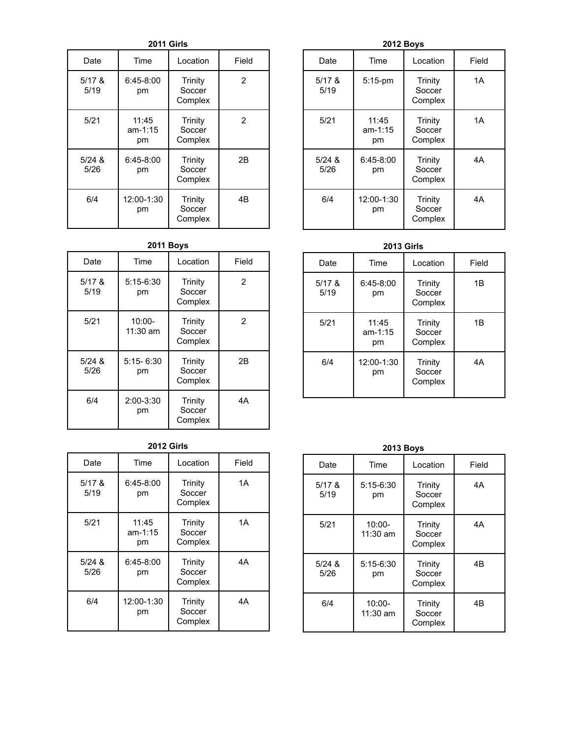**2011 Girls**

| Date             | Time                     | Location                            | Field |
|------------------|--------------------------|-------------------------------------|-------|
| $5/17$ &<br>5/19 | $6:45-8:00$<br>рm        | Trinity<br>Soccer<br>Complex        | 2     |
| 5/21             | 11:45<br>$am-1:15$<br>рm | <b>Trinity</b><br>Soccer<br>Complex | 2     |
| $5/24$ &<br>5/26 | $6:45-8:00$<br>рm        | <b>Trinity</b><br>Soccer<br>Complex | 2B    |
| 6/4              | 12:00-1:30<br>рm         | <b>Trinity</b><br>Soccer<br>Complex | 4B    |

#### **2011 Boys**

| Date             | <b>Time</b>             | Location                            | Field          |
|------------------|-------------------------|-------------------------------------|----------------|
| $5/17$ &<br>5/19 | $5:15-6:30$<br>рm       | Trinity<br>Soccer<br>Complex        | 2              |
| 5/21             | $10:00 -$<br>$11:30$ am | Trinity<br>Soccer<br>Complex        | 2              |
| $5/24$ &<br>5/26 | $5:15 - 6:30$<br>рm     | Trinity<br>Soccer<br>Complex        | 2 <sub>B</sub> |
| 6/4              | $2:00 - 3:30$<br>рm     | <b>Trinity</b><br>Soccer<br>Complex | 4А             |

#### **2012 Girls**

| Date             | Time                     | Location                            | Field |
|------------------|--------------------------|-------------------------------------|-------|
| $5/17$ &<br>5/19 | $6:45-8:00$<br>рm        | <b>Trinity</b><br>Soccer<br>Complex | 1A    |
| 5/21             | 11:45<br>$am-1:15$<br>рm | Trinity<br>Soccer<br>Complex        | 1A    |
| $5/24$ &<br>5/26 | $6:45-8:00$<br>рm        | Trinity<br>Soccer<br>Complex        | 4A    |
| 6/4              | 12:00-1:30<br>рm         | <b>Trinity</b><br>Soccer<br>Complex | 4A    |

#### **2012 Boys**

| Date             | Time                     | Location                            | Field |
|------------------|--------------------------|-------------------------------------|-------|
| $5/17$ &<br>5/19 | $5:15$ -pm               | <b>Trinity</b><br>Soccer<br>Complex | 1A    |
| 5/21             | 11:45<br>$am-1:15$<br>рm | Trinity<br>Soccer<br>Complex        | 1A    |
| $5/24$ &<br>5/26 | $6:45-8:00$<br>рm        | Trinity<br>Soccer<br>Complex        | 4А    |
| 6/4              | 12:00-1:30<br>рm         | <b>Trinity</b><br>Soccer<br>Complex | 4A    |

#### **2013 Girls**

| Date             | Time                     | Location                     | Field |
|------------------|--------------------------|------------------------------|-------|
| $5/17$ &<br>5/19 | $6:45-8:00$<br>рm        | Trinity<br>Soccer<br>Complex | 1B    |
| 5/21             | 11:45<br>$am-1:15$<br>рm | Trinity<br>Soccer<br>Complex | 1B    |
| 6/4              | 12:00-1:30<br>рm         | Trinity<br>Soccer<br>Complex | 4A    |

| <b>2013 Boys</b> |                         |                                     |       |
|------------------|-------------------------|-------------------------------------|-------|
| Date             | Time                    | Location                            | Field |
| 5/17 &<br>5/19   | $5:15-6:30$<br>рm       | Trinity<br>Soccer<br>Complex        | 4A    |
| 5/21             | $10:00 -$<br>$11:30$ am | Trinity<br>Soccer<br>Complex        | 4A    |
| $5/24$ &<br>5/26 | $5:15-6:30$<br>рm       | Trinity<br>Soccer<br>Complex        | 4Β    |
| 6/4              | $10:00 -$<br>11:30 am   | <b>Trinity</b><br>Soccer<br>Complex | 4Β    |